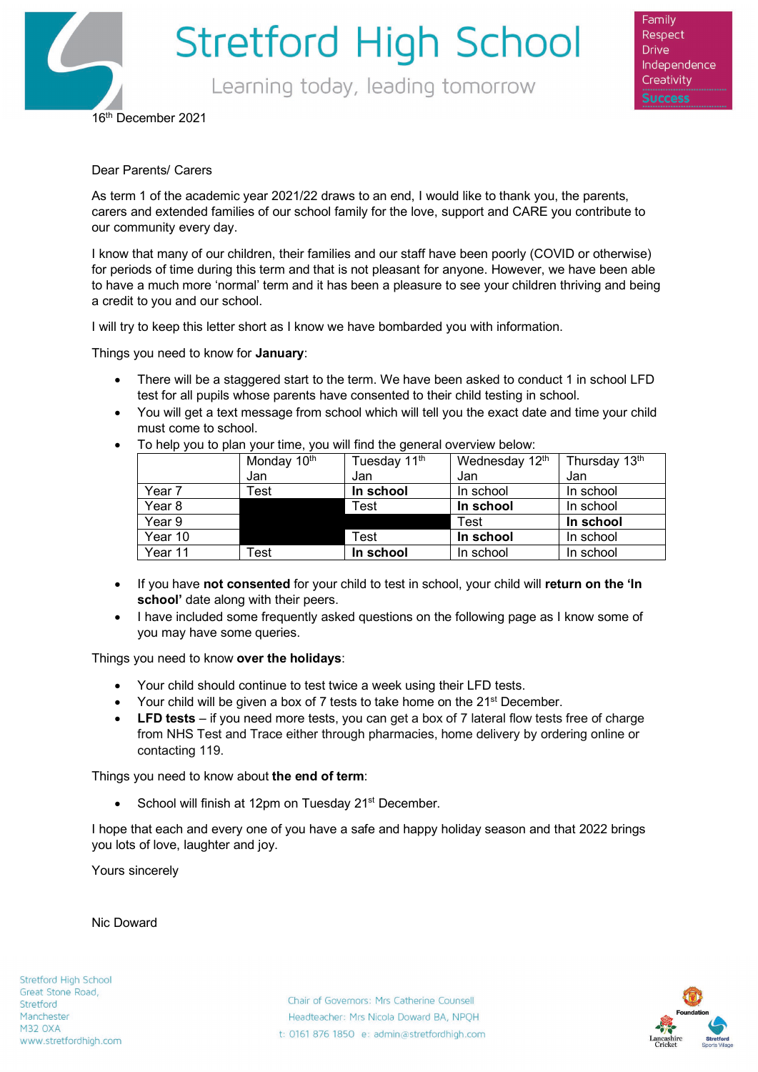

Family Respect **Drive** Independence Creativity

16th December 2021

### Dear Parents/ Carers

As term 1 of the academic year 2021/22 draws to an end, I would like to thank you, the parents, carers and extended families of our school family for the love, support and CARE you contribute to our community every day.

I know that many of our children, their families and our staff have been poorly (COVID or otherwise) for periods of time during this term and that is not pleasant for anyone. However, we have been able to have a much more 'normal' term and it has been a pleasure to see your children thriving and being a credit to you and our school.

I will try to keep this letter short as I know we have bombarded you with information.

Things you need to know for **January**:

- There will be a staggered start to the term. We have been asked to conduct 1 in school LFD test for all pupils whose parents have consented to their child testing in school.
- You will get a text message from school which will tell you the exact date and time your child must come to school.
- To help you to plan your time, you will find the general overview below:

|         | Monday 10 <sup>th</sup> | Tuesday 11 <sup>th</sup> | Wednesday 12th | Thursday 13th |
|---------|-------------------------|--------------------------|----------------|---------------|
|         | Jan                     | Jan                      | Jan            | Jan           |
| Year 7  | $\mathsf{Test}$         | In school                | In school      | In school     |
| Year 8  |                         | Test                     | In school      | In school     |
| Year 9  |                         |                          | Test           | In school     |
| Year 10 |                         | Test                     | In school      | In school     |
| Year 11 | ™est                    | In school                | In school      | In school     |

- If you have **not consented** for your child to test in school, your child will **return on the 'In school'** date along with their peers.
- I have included some frequently asked questions on the following page as I know some of you may have some queries.

Things you need to know **over the holidays**:

- Your child should continue to test twice a week using their LFD tests.
- Your child will be given a box of 7 tests to take home on the 21<sup>st</sup> December.
- **LFD tests** if you need more tests, you can get a box of 7 lateral flow tests free of charge from NHS Test and Trace either through pharmacies, home delivery by ordering online or contacting 119.

Things you need to know about **the end of term**:

• School will finish at 12pm on Tuesday 21<sup>st</sup> December.

I hope that each and every one of you have a safe and happy holiday season and that 2022 brings you lots of love, laughter and joy.

Yours sincerely

Nic Doward